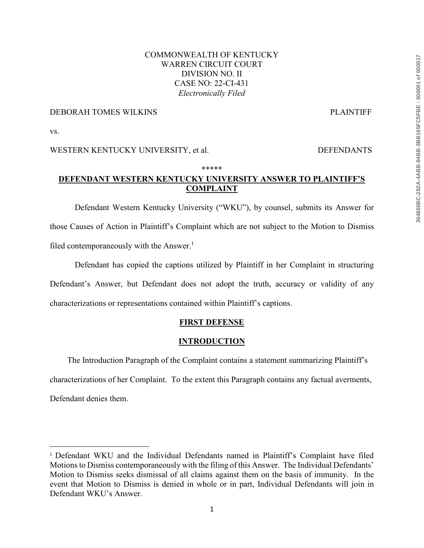## COMMONWEALTH OF KENTUCKY WARREN CIRCUIT COURT DIVISION NO. II CASE NO: 22-CI-431 *Electronically Filed*

### DEBORAH TOMES WILKINS PLAINTIFF

vs.

l

### WESTERN KENTUCKY UNIVERSITY, et al. DEFENDANTS

#### \*\*\*\*\*

# **DEFENDANT WESTERN KENTUCKY UNIVERSITY ANSWER TO PLAINTIFF'S COMPLAINT**

Defendant Western Kentucky University ("WKU"), by counsel, submits its Answer for those Causes of Action in Plaintiff's Complaint which are not subject to the Motion to Dismiss filed contemporaneously with the Answer.<sup>1</sup>

Defendant has copied the captions utilized by Plaintiff in her Complaint in structuring Defendant's Answer, but Defendant does not adopt the truth, accuracy or validity of any characterizations or representations contained within Plaintiff's captions.

# **FIRST DEFENSE**

### **INTRODUCTION**

The Introduction Paragraph of the Complaint contains a statement summarizing Plaintiff's characterizations of her Complaint. To the extent this Paragraph contains any factual averments, Defendant denies them.

<sup>1</sup> Defendant WKU and the Individual Defendants named in Plaintiff's Complaint have filed Motions to Dismiss contemporaneously with the filing of this Answer. The Individual Defendants' Motion to Dismiss seeks dismissal of all claims against them on the basis of immunity. In the event that Motion to Dismiss is denied in whole or in part, Individual Defendants will join in Defendant WKU's Answer.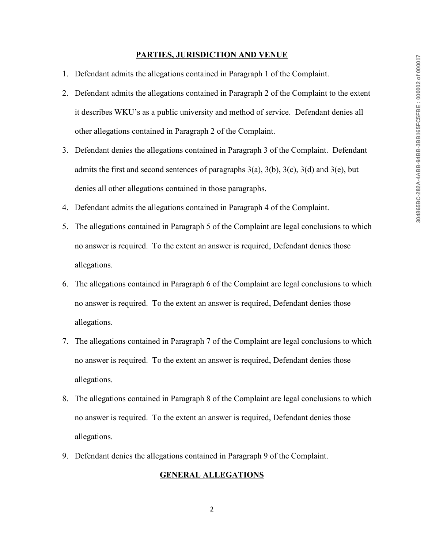#### **PARTIES, JURISDICTION AND VENUE**

- 1. Defendant admits the allegations contained in Paragraph 1 of the Complaint.
- 2. Defendant admits the allegations contained in Paragraph 2 of the Complaint to the extent it describes WKU's as a public university and method of service. Defendant denies all other allegations contained in Paragraph 2 of the Complaint.
- 3. Defendant denies the allegations contained in Paragraph 3 of the Complaint. Defendant admits the first and second sentences of paragraphs  $3(a)$ ,  $3(b)$ ,  $3(c)$ ,  $3(d)$  and  $3(e)$ , but denies all other allegations contained in those paragraphs.
- 4. Defendant admits the allegations contained in Paragraph 4 of the Complaint.
- 5. The allegations contained in Paragraph 5 of the Complaint are legal conclusions to which no answer is required. To the extent an answer is required, Defendant denies those allegations.
- 6. The allegations contained in Paragraph 6 of the Complaint are legal conclusions to which no answer is required. To the extent an answer is required, Defendant denies those allegations.
- 7. The allegations contained in Paragraph 7 of the Complaint are legal conclusions to which no answer is required. To the extent an answer is required, Defendant denies those allegations.
- 8. The allegations contained in Paragraph 8 of the Complaint are legal conclusions to which no answer is required. To the extent an answer is required, Defendant denies those allegations.
- 9. Defendant denies the allegations contained in Paragraph 9 of the Complaint.

#### **GENERAL ALLEGATIONS**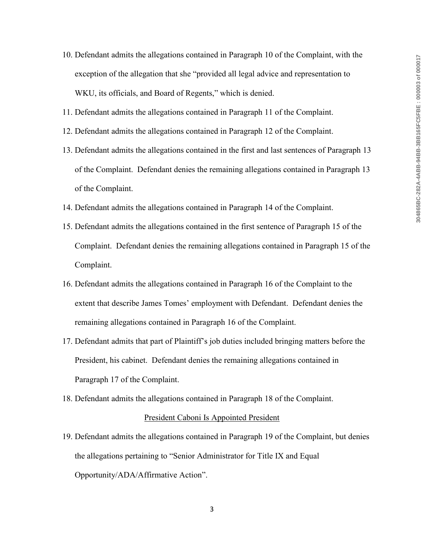- 10. Defendant admits the allegations contained in Paragraph 10 of the Complaint, with the exception of the allegation that she "provided all legal advice and representation to WKU, its officials, and Board of Regents," which is denied.
- 11. Defendant admits the allegations contained in Paragraph 11 of the Complaint.
- 12. Defendant admits the allegations contained in Paragraph 12 of the Complaint.
- 13. Defendant admits the allegations contained in the first and last sentences of Paragraph 13 of the Complaint. Defendant denies the remaining allegations contained in Paragraph 13 of the Complaint.
- 14. Defendant admits the allegations contained in Paragraph 14 of the Complaint.
- 15. Defendant admits the allegations contained in the first sentence of Paragraph 15 of the Complaint. Defendant denies the remaining allegations contained in Paragraph 15 of the Complaint.
- 16. Defendant admits the allegations contained in Paragraph 16 of the Complaint to the extent that describe James Tomes' employment with Defendant. Defendant denies the remaining allegations contained in Paragraph 16 of the Complaint.
- 17. Defendant admits that part of Plaintiff's job duties included bringing matters before the President, his cabinet. Defendant denies the remaining allegations contained in Paragraph 17 of the Complaint.
- 18. Defendant admits the allegations contained in Paragraph 18 of the Complaint.

#### President Caboni Is Appointed President

19. Defendant admits the allegations contained in Paragraph 19 of the Complaint, but denies the allegations pertaining to "Senior Administrator for Title IX and Equal Opportunity/ADA/Affirmative Action".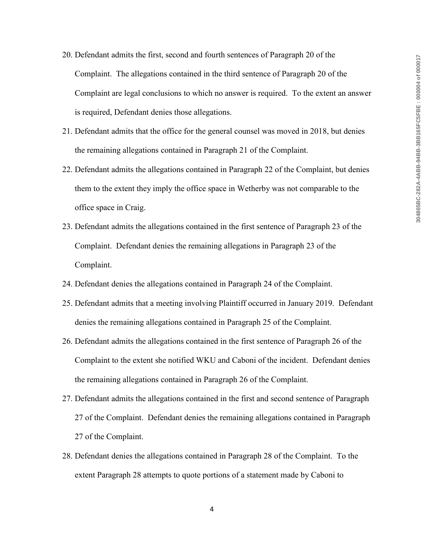- 20. Defendant admits the first, second and fourth sentences of Paragraph 20 of the Complaint. The allegations contained in the third sentence of Paragraph 20 of the Complaint are legal conclusions to which no answer is required. To the extent an answer is required, Defendant denies those allegations.
- 21. Defendant admits that the office for the general counsel was moved in 2018, but denies the remaining allegations contained in Paragraph 21 of the Complaint.
- 22. Defendant admits the allegations contained in Paragraph 22 of the Complaint, but denies them to the extent they imply the office space in Wetherby was not comparable to the office space in Craig.
- 23. Defendant admits the allegations contained in the first sentence of Paragraph 23 of the Complaint. Defendant denies the remaining allegations in Paragraph 23 of the Complaint.
- 24. Defendant denies the allegations contained in Paragraph 24 of the Complaint.
- 25. Defendant admits that a meeting involving Plaintiff occurred in January 2019. Defendant denies the remaining allegations contained in Paragraph 25 of the Complaint.
- 26. Defendant admits the allegations contained in the first sentence of Paragraph 26 of the Complaint to the extent she notified WKU and Caboni of the incident. Defendant denies the remaining allegations contained in Paragraph 26 of the Complaint.
- 27. Defendant admits the allegations contained in the first and second sentence of Paragraph 27 of the Complaint. Defendant denies the remaining allegations contained in Paragraph 27 of the Complaint.
- 28. Defendant denies the allegations contained in Paragraph 28 of the Complaint. To the extent Paragraph 28 attempts to quote portions of a statement made by Caboni to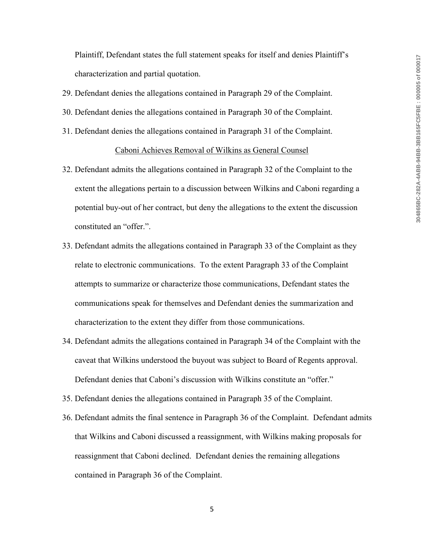Plaintiff, Defendant states the full statement speaks for itself and denies Plaintiff's characterization and partial quotation.

- 29. Defendant denies the allegations contained in Paragraph 29 of the Complaint.
- 30. Defendant denies the allegations contained in Paragraph 30 of the Complaint.
- 31. Defendant denies the allegations contained in Paragraph 31 of the Complaint.

### Caboni Achieves Removal of Wilkins as General Counsel

- 32. Defendant admits the allegations contained in Paragraph 32 of the Complaint to the extent the allegations pertain to a discussion between Wilkins and Caboni regarding a potential buy-out of her contract, but deny the allegations to the extent the discussion constituted an "offer.".
- 33. Defendant admits the allegations contained in Paragraph 33 of the Complaint as they relate to electronic communications. To the extent Paragraph 33 of the Complaint attempts to summarize or characterize those communications, Defendant states the communications speak for themselves and Defendant denies the summarization and characterization to the extent they differ from those communications.
- 34. Defendant admits the allegations contained in Paragraph 34 of the Complaint with the caveat that Wilkins understood the buyout was subject to Board of Regents approval. Defendant denies that Caboni's discussion with Wilkins constitute an "offer."
- 35. Defendant denies the allegations contained in Paragraph 35 of the Complaint.
- 36. Defendant admits the final sentence in Paragraph 36 of the Complaint. Defendant admits that Wilkins and Caboni discussed a reassignment, with Wilkins making proposals for reassignment that Caboni declined. Defendant denies the remaining allegations contained in Paragraph 36 of the Complaint.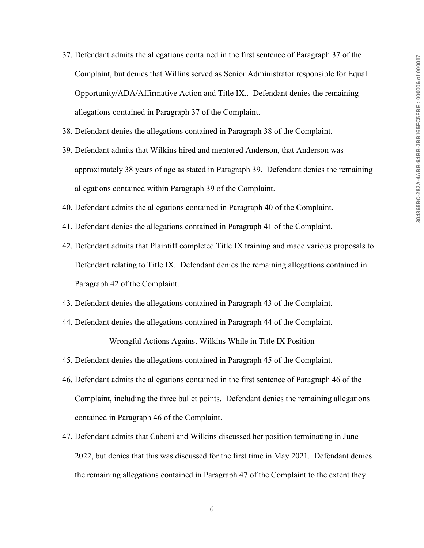- 37. Defendant admits the allegations contained in the first sentence of Paragraph 37 of the Complaint, but denies that Willins served as Senior Administrator responsible for Equal Opportunity/ADA/Affirmative Action and Title IX.. Defendant denies the remaining allegations contained in Paragraph 37 of the Complaint.
- 38. Defendant denies the allegations contained in Paragraph 38 of the Complaint.
- 39. Defendant admits that Wilkins hired and mentored Anderson, that Anderson was approximately 38 years of age as stated in Paragraph 39. Defendant denies the remaining allegations contained within Paragraph 39 of the Complaint.
- 40. Defendant admits the allegations contained in Paragraph 40 of the Complaint.
- 41. Defendant denies the allegations contained in Paragraph 41 of the Complaint.
- 42. Defendant admits that Plaintiff completed Title IX training and made various proposals to Defendant relating to Title IX. Defendant denies the remaining allegations contained in Paragraph 42 of the Complaint.
- 43. Defendant denies the allegations contained in Paragraph 43 of the Complaint.
- 44. Defendant denies the allegations contained in Paragraph 44 of the Complaint.

### Wrongful Actions Against Wilkins While in Title IX Position

- 45. Defendant denies the allegations contained in Paragraph 45 of the Complaint.
- 46. Defendant admits the allegations contained in the first sentence of Paragraph 46 of the Complaint, including the three bullet points. Defendant denies the remaining allegations contained in Paragraph 46 of the Complaint.
- 47. Defendant admits that Caboni and Wilkins discussed her position terminating in June 2022, but denies that this was discussed for the first time in May 2021. Defendant denies the remaining allegations contained in Paragraph 47 of the Complaint to the extent they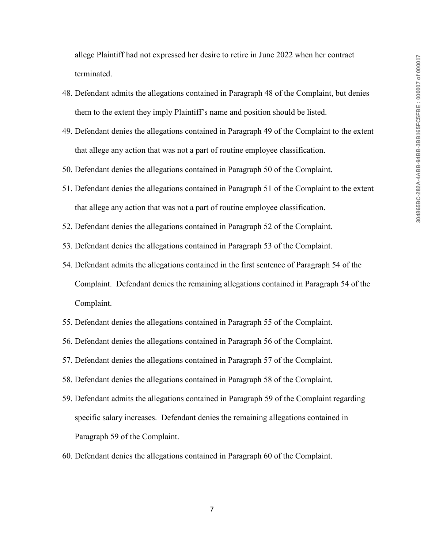allege Plaintiff had not expressed her desire to retire in June 2022 when her contract terminated.

- 48. Defendant admits the allegations contained in Paragraph 48 of the Complaint, but denies them to the extent they imply Plaintiff's name and position should be listed.
- 49. Defendant denies the allegations contained in Paragraph 49 of the Complaint to the extent that allege any action that was not a part of routine employee classification.
- 50. Defendant denies the allegations contained in Paragraph 50 of the Complaint.
- 51. Defendant denies the allegations contained in Paragraph 51 of the Complaint to the extent that allege any action that was not a part of routine employee classification.
- 52. Defendant denies the allegations contained in Paragraph 52 of the Complaint.
- 53. Defendant denies the allegations contained in Paragraph 53 of the Complaint.
- 54. Defendant admits the allegations contained in the first sentence of Paragraph 54 of the Complaint. Defendant denies the remaining allegations contained in Paragraph 54 of the Complaint.
- 55. Defendant denies the allegations contained in Paragraph 55 of the Complaint.
- 56. Defendant denies the allegations contained in Paragraph 56 of the Complaint.
- 57. Defendant denies the allegations contained in Paragraph 57 of the Complaint.
- 58. Defendant denies the allegations contained in Paragraph 58 of the Complaint.
- 59. Defendant admits the allegations contained in Paragraph 59 of the Complaint regarding specific salary increases. Defendant denies the remaining allegations contained in Paragraph 59 of the Complaint.
- 60. Defendant denies the allegations contained in Paragraph 60 of the Complaint.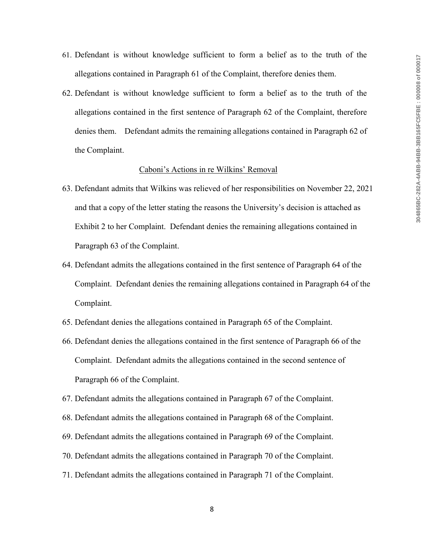- 61. Defendant is without knowledge sufficient to form a belief as to the truth of the allegations contained in Paragraph 61 of the Complaint, therefore denies them.
- 62. Defendant is without knowledge sufficient to form a belief as to the truth of the allegations contained in the first sentence of Paragraph 62 of the Complaint, therefore denies them. Defendant admits the remaining allegations contained in Paragraph 62 of the Complaint.

#### Caboni's Actions in re Wilkins' Removal

- 63. Defendant admits that Wilkins was relieved of her responsibilities on November 22, 2021 and that a copy of the letter stating the reasons the University's decision is attached as Exhibit 2 to her Complaint. Defendant denies the remaining allegations contained in Paragraph 63 of the Complaint.
- 64. Defendant admits the allegations contained in the first sentence of Paragraph 64 of the Complaint. Defendant denies the remaining allegations contained in Paragraph 64 of the Complaint.
- 65. Defendant denies the allegations contained in Paragraph 65 of the Complaint.
- 66. Defendant denies the allegations contained in the first sentence of Paragraph 66 of the Complaint. Defendant admits the allegations contained in the second sentence of Paragraph 66 of the Complaint.
- 67. Defendant admits the allegations contained in Paragraph 67 of the Complaint.
- 68. Defendant admits the allegations contained in Paragraph 68 of the Complaint.
- 69. Defendant admits the allegations contained in Paragraph 69 of the Complaint.
- 70. Defendant admits the allegations contained in Paragraph 70 of the Complaint.
- 71. Defendant admits the allegations contained in Paragraph 71 of the Complaint.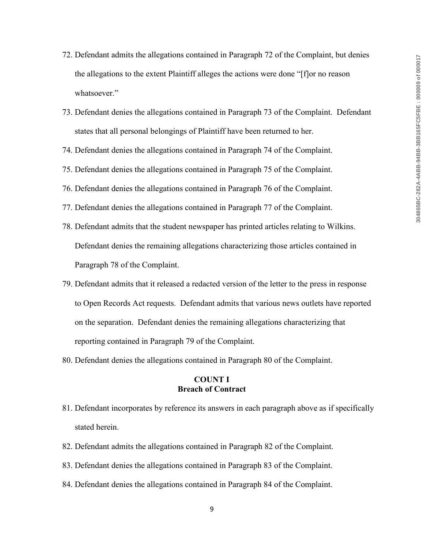- 72. Defendant admits the allegations contained in Paragraph 72 of the Complaint, but denies the allegations to the extent Plaintiff alleges the actions were done "[f]or no reason whatsoever."
- 73. Defendant denies the allegations contained in Paragraph 73 of the Complaint. Defendant states that all personal belongings of Plaintiff have been returned to her.
- 74. Defendant denies the allegations contained in Paragraph 74 of the Complaint.
- 75. Defendant denies the allegations contained in Paragraph 75 of the Complaint.
- 76. Defendant denies the allegations contained in Paragraph 76 of the Complaint.
- 77. Defendant denies the allegations contained in Paragraph 77 of the Complaint.
- 78. Defendant admits that the student newspaper has printed articles relating to Wilkins. Defendant denies the remaining allegations characterizing those articles contained in Paragraph 78 of the Complaint.
- 79. Defendant admits that it released a redacted version of the letter to the press in response to Open Records Act requests. Defendant admits that various news outlets have reported on the separation. Defendant denies the remaining allegations characterizing that reporting contained in Paragraph 79 of the Complaint.
- 80. Defendant denies the allegations contained in Paragraph 80 of the Complaint.

## **COUNT I Breach of Contract**

- 81. Defendant incorporates by reference its answers in each paragraph above as if specifically stated herein.
- 82. Defendant admits the allegations contained in Paragraph 82 of the Complaint.
- 83. Defendant denies the allegations contained in Paragraph 83 of the Complaint.
- 84. Defendant denies the allegations contained in Paragraph 84 of the Complaint.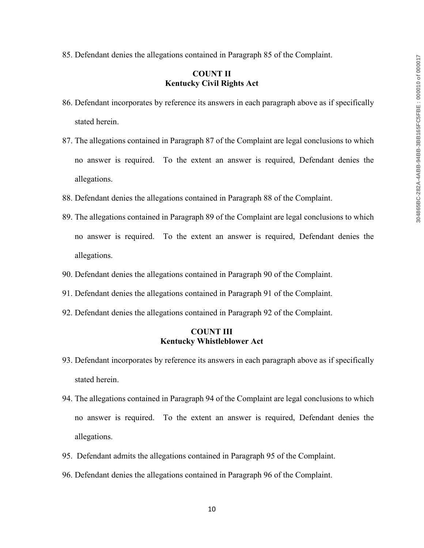85. Defendant denies the allegations contained in Paragraph 85 of the Complaint.

## **COUNT II Kentucky Civil Rights Act**

- 86. Defendant incorporates by reference its answers in each paragraph above as if specifically stated herein.
- 87. The allegations contained in Paragraph 87 of the Complaint are legal conclusions to which no answer is required. To the extent an answer is required, Defendant denies the allegations.
- 88. Defendant denies the allegations contained in Paragraph 88 of the Complaint.
- 89. The allegations contained in Paragraph 89 of the Complaint are legal conclusions to which no answer is required. To the extent an answer is required, Defendant denies the allegations.
- 90. Defendant denies the allegations contained in Paragraph 90 of the Complaint.
- 91. Defendant denies the allegations contained in Paragraph 91 of the Complaint.
- 92. Defendant denies the allegations contained in Paragraph 92 of the Complaint.

## **COUNT III Kentucky Whistleblower Act**

- 93. Defendant incorporates by reference its answers in each paragraph above as if specifically stated herein.
- 94. The allegations contained in Paragraph 94 of the Complaint are legal conclusions to which no answer is required. To the extent an answer is required, Defendant denies the allegations.
- 95. Defendant admits the allegations contained in Paragraph 95 of the Complaint.
- 96. Defendant denies the allegations contained in Paragraph 96 of the Complaint.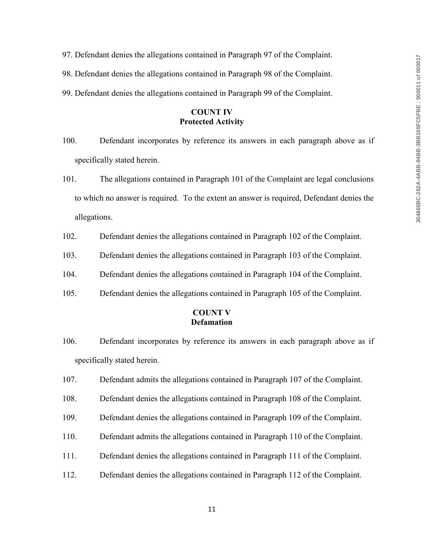- 97. Defendant denies the allegations contained in Paragraph 97 of the Complaint.
- 98. Defendant denies the allegations contained in Paragraph 98 of the Complaint.
- 99. Defendant denies the allegations contained in Paragraph 99 of the Complaint.

## **COUNT IV Protected Activity**

- 100. Defendant incorporates by reference its answers in each paragraph above as if specifically stated herein.
- 101. The allegations contained in Paragraph 101 of the Complaint are legal conclusions to which no answer is required. To the extent an answer is required, Defendant denies the allegations.
- 102. Defendant denies the allegations contained in Paragraph 102 of the Complaint.
- 103. Defendant denies the allegations contained in Paragraph 103 of the Complaint.
- 104. Defendant denies the allegations contained in Paragraph 104 of the Complaint.
- 105. Defendant denies the allegations contained in Paragraph 105 of the Complaint.

### **COUNT V Defamation**

- 106. Defendant incorporates by reference its answers in each paragraph above as if specifically stated herein.
- 107. Defendant admits the allegations contained in Paragraph 107 of the Complaint.
- 108. Defendant denies the allegations contained in Paragraph 108 of the Complaint.
- 109. Defendant denies the allegations contained in Paragraph 109 of the Complaint.
- 110. Defendant admits the allegations contained in Paragraph 110 of the Complaint.
- 111. Defendant denies the allegations contained in Paragraph 111 of the Complaint.
- 112. Defendant denies the allegations contained in Paragraph 112 of the Complaint.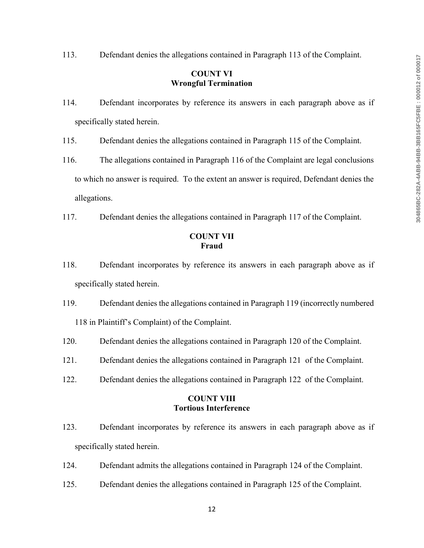113. Defendant denies the allegations contained in Paragraph 113 of the Complaint.

## **COUNT VI Wrongful Termination**

- 114. Defendant incorporates by reference its answers in each paragraph above as if specifically stated herein.
- 115. Defendant denies the allegations contained in Paragraph 115 of the Complaint.
- 116. The allegations contained in Paragraph 116 of the Complaint are legal conclusions to which no answer is required. To the extent an answer is required, Defendant denies the allegations.
- 117. Defendant denies the allegations contained in Paragraph 117 of the Complaint.

## **COUNT VII Fraud**

- 118. Defendant incorporates by reference its answers in each paragraph above as if specifically stated herein.
- 119. Defendant denies the allegations contained in Paragraph 119 (incorrectly numbered 118 in Plaintiff's Complaint) of the Complaint.
- 120. Defendant denies the allegations contained in Paragraph 120 of the Complaint.
- 121. Defendant denies the allegations contained in Paragraph 121 of the Complaint.
- 122. Defendant denies the allegations contained in Paragraph 122 of the Complaint.

# **COUNT VIII Tortious Interference**

- 123. Defendant incorporates by reference its answers in each paragraph above as if specifically stated herein.
- 124. Defendant admits the allegations contained in Paragraph 124 of the Complaint.
- 125. Defendant denies the allegations contained in Paragraph 125 of the Complaint.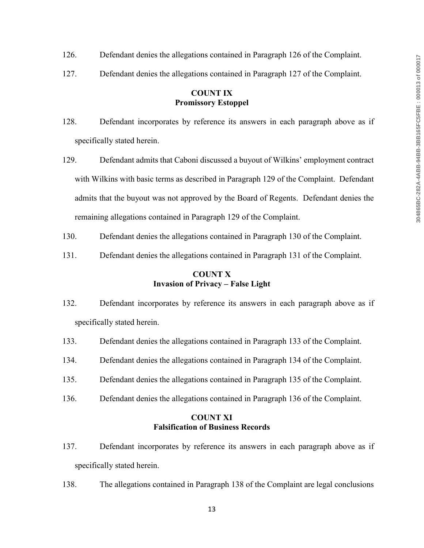- 126. Defendant denies the allegations contained in Paragraph 126 of the Complaint.
- 127. Defendant denies the allegations contained in Paragraph 127 of the Complaint.

# **COUNT IX Promissory Estoppel**

- 128. Defendant incorporates by reference its answers in each paragraph above as if specifically stated herein.
- 129. Defendant admits that Caboni discussed a buyout of Wilkins' employment contract with Wilkins with basic terms as described in Paragraph 129 of the Complaint. Defendant admits that the buyout was not approved by the Board of Regents. Defendant denies the remaining allegations contained in Paragraph 129 of the Complaint.
- 130. Defendant denies the allegations contained in Paragraph 130 of the Complaint.
- 131. Defendant denies the allegations contained in Paragraph 131 of the Complaint.

# **COUNT X Invasion of Privacy – False Light**

- 132. Defendant incorporates by reference its answers in each paragraph above as if specifically stated herein.
- 133. Defendant denies the allegations contained in Paragraph 133 of the Complaint.
- 134. Defendant denies the allegations contained in Paragraph 134 of the Complaint.
- 135. Defendant denies the allegations contained in Paragraph 135 of the Complaint.
- 136. Defendant denies the allegations contained in Paragraph 136 of the Complaint.

## **COUNT XI Falsification of Business Records**

- 137. Defendant incorporates by reference its answers in each paragraph above as if specifically stated herein.
- 138. The allegations contained in Paragraph 138 of the Complaint are legal conclusions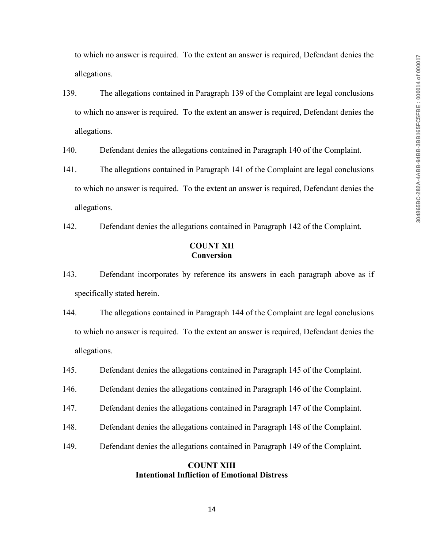to which no answer is required. To the extent an answer is required, Defendant denies the allegations.

139. The allegations contained in Paragraph 139 of the Complaint are legal conclusions to which no answer is required. To the extent an answer is required, Defendant denies the allegations.

140. Defendant denies the allegations contained in Paragraph 140 of the Complaint.

- 141. The allegations contained in Paragraph 141 of the Complaint are legal conclusions to which no answer is required. To the extent an answer is required, Defendant denies the allegations.
- 142. Defendant denies the allegations contained in Paragraph 142 of the Complaint.

### **COUNT XII Conversion**

- 143. Defendant incorporates by reference its answers in each paragraph above as if specifically stated herein.
- 144. The allegations contained in Paragraph 144 of the Complaint are legal conclusions to which no answer is required. To the extent an answer is required, Defendant denies the allegations.
- 145. Defendant denies the allegations contained in Paragraph 145 of the Complaint.
- 146. Defendant denies the allegations contained in Paragraph 146 of the Complaint.
- 147. Defendant denies the allegations contained in Paragraph 147 of the Complaint.
- 148. Defendant denies the allegations contained in Paragraph 148 of the Complaint.
- 149. Defendant denies the allegations contained in Paragraph 149 of the Complaint.

## **COUNT XIII Intentional Infliction of Emotional Distress**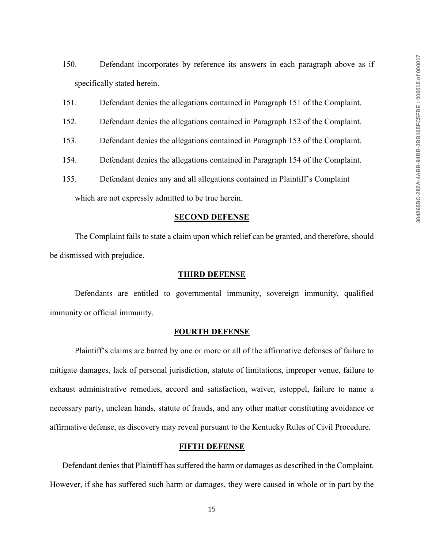- 150. Defendant incorporates by reference its answers in each paragraph above as if specifically stated herein.
- 151. Defendant denies the allegations contained in Paragraph 151 of the Complaint.
- 152. Defendant denies the allegations contained in Paragraph 152 of the Complaint.
- 153. Defendant denies the allegations contained in Paragraph 153 of the Complaint.
- 154. Defendant denies the allegations contained in Paragraph 154 of the Complaint.
- 155. Defendant denies any and all allegations contained in Plaintiff's Complaint

which are not expressly admitted to be true herein.

### **SECOND DEFENSE**

The Complaint fails to state a claim upon which relief can be granted, and therefore, should be dismissed with prejudice.

#### **THIRD DEFENSE**

Defendants are entitled to governmental immunity, sovereign immunity, qualified immunity or official immunity.

#### **FOURTH DEFENSE**

Plaintiff's claims are barred by one or more or all of the affirmative defenses of failure to mitigate damages, lack of personal jurisdiction, statute of limitations, improper venue, failure to exhaust administrative remedies, accord and satisfaction, waiver, estoppel, failure to name a necessary party, unclean hands, statute of frauds, and any other matter constituting avoidance or affirmative defense, as discovery may reveal pursuant to the Kentucky Rules of Civil Procedure.

#### **FIFTH DEFENSE**

Defendant denies that Plaintiff has suffered the harm or damages as described in the Complaint. However, if she has suffered such harm or damages, they were caused in whole or in part by the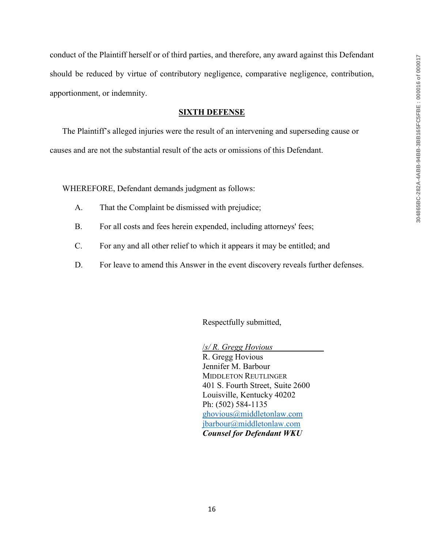conduct of the Plaintiff herself or of third parties, and therefore, any award against this Defendant should be reduced by virtue of contributory negligence, comparative negligence, contribution, apportionment, or indemnity.

#### **SIXTH DEFENSE**

The Plaintiff's alleged injuries were the result of an intervening and superseding cause or causes and are not the substantial result of the acts or omissions of this Defendant.

WHEREFORE, Defendant demands judgment as follows:

- A. That the Complaint be dismissed with prejudice;
- B. For all costs and fees herein expended, including attorneys' fees;
- C. For any and all other relief to which it appears it may be entitled; and
- D. For leave to amend this Answer in the event discovery reveals further defenses.

Respectfully submitted,

/*s/ R. Gregg Hovious* 

R. Gregg Hovious Jennifer M. Barbour MIDDLETON REUTLINGER 401 S. Fourth Street, Suite 2600 Louisville, Kentucky 40202 Ph: (502) 584-1135 [ghovious@middletonlaw.com](mailto:ghovious@middletonlaw.com) [jbarbour@middletonlaw.com](mailto:jbarbour@middletonlaw.com) *Counsel for Defendant WKU*